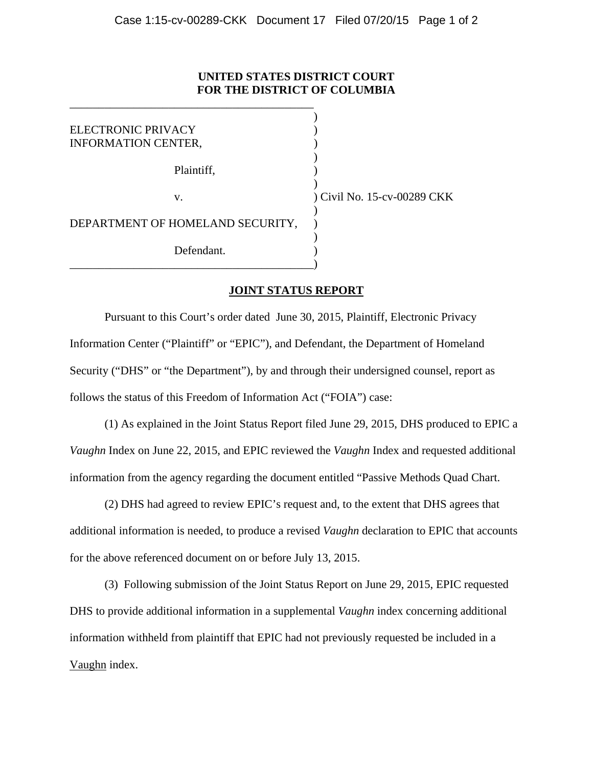## **UNITED STATES DISTRICT COURT FOR THE DISTRICT OF COLUMBIA**

| ELECTRONIC PRIVACY<br><b>INFORMATION CENTER,</b> |                             |
|--------------------------------------------------|-----------------------------|
| Plaintiff,                                       |                             |
| V.                                               | ) Civil No. 15-cv-00289 CKK |
| DEPARTMENT OF HOMELAND SECURITY,                 |                             |
| Defendant.                                       |                             |

\_\_\_\_\_\_\_\_\_\_\_\_\_\_\_\_\_\_\_\_\_\_\_\_\_\_\_\_\_\_\_\_\_\_\_\_\_\_\_\_\_\_

## **JOINT STATUS REPORT**

 Pursuant to this Court's order dated June 30, 2015, Plaintiff, Electronic Privacy Information Center ("Plaintiff" or "EPIC"), and Defendant, the Department of Homeland Security ("DHS" or "the Department"), by and through their undersigned counsel, report as follows the status of this Freedom of Information Act ("FOIA") case:

 (1) As explained in the Joint Status Report filed June 29, 2015, DHS produced to EPIC a *Vaughn* Index on June 22, 2015, and EPIC reviewed the *Vaughn* Index and requested additional information from the agency regarding the document entitled "Passive Methods Quad Chart.

 (2) DHS had agreed to review EPIC's request and, to the extent that DHS agrees that additional information is needed, to produce a revised *Vaughn* declaration to EPIC that accounts for the above referenced document on or before July 13, 2015.

 (3) Following submission of the Joint Status Report on June 29, 2015, EPIC requested DHS to provide additional information in a supplemental *Vaughn* index concerning additional information withheld from plaintiff that EPIC had not previously requested be included in a Vaughn index.